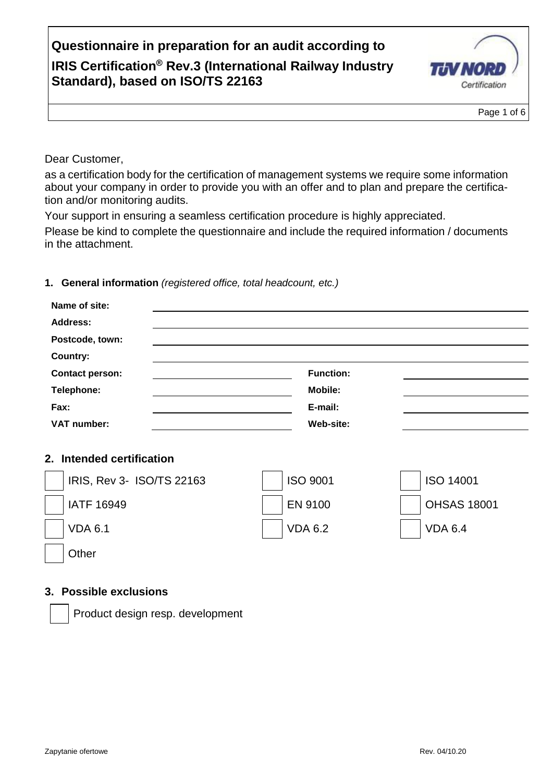# **Questionnaire in preparation for an audit according to IRIS Certification® Rev.3 (International Railway Industry Standard), based on ISO/TS 22163**



Page 1 of 6

Dear Customer,

as a certification body for the certification of management systems we require some information about your company in order to provide you with an offer and to plan and prepare the certification and/or monitoring audits.

Your support in ensuring a seamless certification procedure is highly appreciated.

Please be kind to complete the questionnaire and include the required information / documents in the attachment.

#### **1. General information** *(registered office, total headcount, etc.)*

| Name of site:          |                  |  |
|------------------------|------------------|--|
| <b>Address:</b>        |                  |  |
| Postcode, town:        |                  |  |
| <b>Country:</b>        |                  |  |
| <b>Contact person:</b> | <b>Function:</b> |  |
| Telephone:             | <b>Mobile:</b>   |  |
| Fax:                   | E-mail:          |  |
| <b>VAT number:</b>     | Web-site:        |  |

#### **2. Intended certification**

| IRIS, Rev 3- ISO/TS 22163 | <b>ISO 9001</b> | <b>ISO 14001</b>   |
|---------------------------|-----------------|--------------------|
| <b>IATF 16949</b>         | EN 9100         | <b>OHSAS 18001</b> |
| <b>VDA 6.1</b>            | <b>VDA 6.2</b>  | <b>VDA 6.4</b>     |
| Other                     |                 |                    |

#### **3. Possible exclusions**

Product design resp. development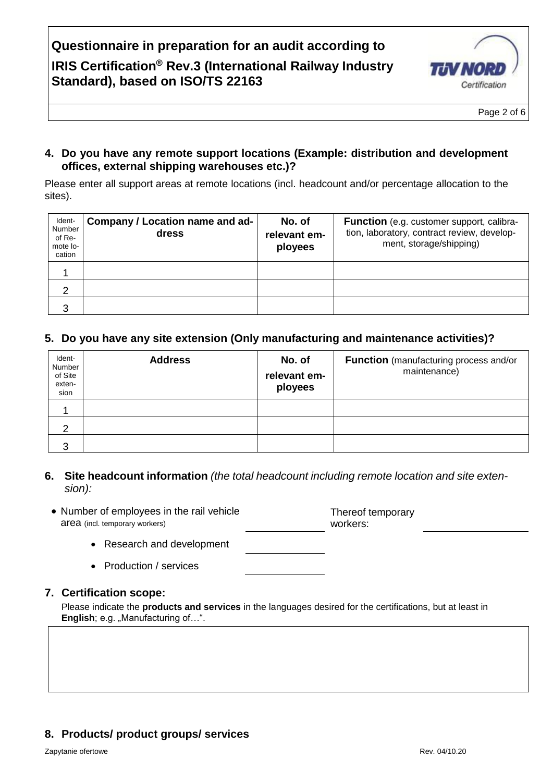# **Questionnaire in preparation for an audit according to**

### **IRIS Certification® Rev.3 (International Railway Industry Standard), based on ISO/TS 22163**



Page 2 of 6

#### **4. Do you have any remote support locations (Example: distribution and development offices, external shipping warehouses etc.)?**

Please enter all support areas at remote locations (incl. headcount and/or percentage allocation to the sites).

| Ident-<br>Number<br>of Re-<br>mote lo-<br>cation | Company / Location name and ad-<br>dress | No. of<br>relevant em-<br>ployees | Function (e.g. customer support, calibra-<br>tion, laboratory, contract review, develop-<br>ment, storage/shipping) |
|--------------------------------------------------|------------------------------------------|-----------------------------------|---------------------------------------------------------------------------------------------------------------------|
|                                                  |                                          |                                   |                                                                                                                     |
| 2                                                |                                          |                                   |                                                                                                                     |
| 3                                                |                                          |                                   |                                                                                                                     |

#### **5. Do you have any site extension (Only manufacturing and maintenance activities)?**

| Ident-<br>Number<br>of Site<br>exten-<br>sion | <b>Address</b> | No. of<br>relevant em-<br>ployees | <b>Function</b> (manufacturing process and/or<br>maintenance) |
|-----------------------------------------------|----------------|-----------------------------------|---------------------------------------------------------------|
|                                               |                |                                   |                                                               |
| 2                                             |                |                                   |                                                               |
| 3                                             |                |                                   |                                                               |

#### **6. Site headcount information** *(the total headcount including remote location and site extension):*

- Number of employees in the rail vehicle area (incl. temporary workers) Thereof temporary workers:
	- Research and development
	- Production / services

#### **7. Certification scope:**

Please indicate the **products and services** in the languages desired for the certifications, but at least in **English**; e.g. "Manufacturing of...".

#### **8. Products/ product groups/ services**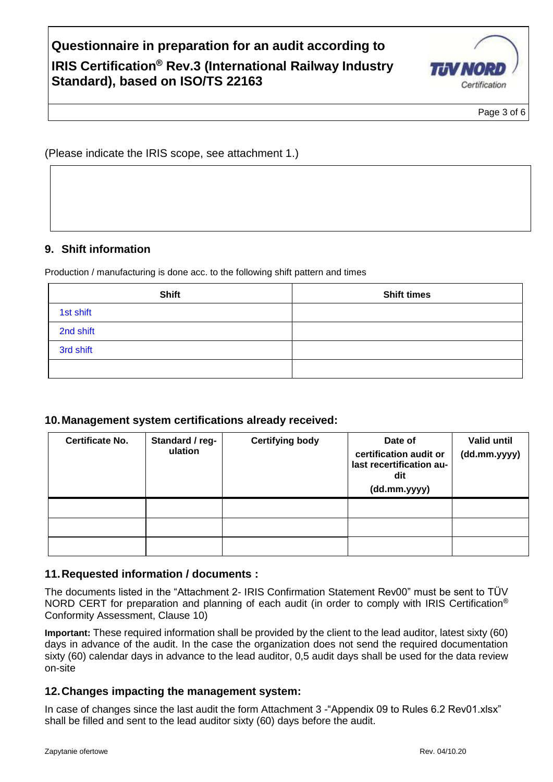# **Questionnaire in preparation for an audit according to IRIS Certification® Rev.3 (International Railway Industry Standard), based on ISO/TS 22163**



Page 3 of 6

(Please indicate the IRIS scope, see attachment 1.)

#### **9. Shift information**

Production / manufacturing is done acc. to the following shift pattern and times

| <b>Shift</b> | <b>Shift times</b> |
|--------------|--------------------|
| 1st shift    |                    |
| 2nd shift    |                    |
| 3rd shift    |                    |
|              |                    |

#### **10.Management system certifications already received:**

| <b>Certificate No.</b> | Standard / reg-<br>ulation | <b>Certifying body</b> | Date of<br>certification audit or<br>last recertification au-<br>dit<br>(dd.mm.yyyy) | <b>Valid until</b><br>(dd.mm.yyyy) |
|------------------------|----------------------------|------------------------|--------------------------------------------------------------------------------------|------------------------------------|
|                        |                            |                        |                                                                                      |                                    |
|                        |                            |                        |                                                                                      |                                    |
|                        |                            |                        |                                                                                      |                                    |

#### **11.Requested information / documents :**

The documents listed in the "Attachment 2- IRIS Confirmation Statement Rev00" must be sent to TÜV NORD CERT for preparation and planning of each audit (in order to comply with IRIS Certification<sup>®</sup> Conformity Assessment, Clause 10)

**Important:** These required information shall be provided by the client to the lead auditor, latest sixty (60) days in advance of the audit. In the case the organization does not send the required documentation sixty (60) calendar days in advance to the lead auditor, 0,5 audit days shall be used for the data review on-site

#### **12.Changes impacting the management system:**

In case of changes since the last audit the form Attachment 3 -"Appendix 09 to Rules 6.2 Rev01.xlsx" shall be filled and sent to the lead auditor sixty (60) days before the audit.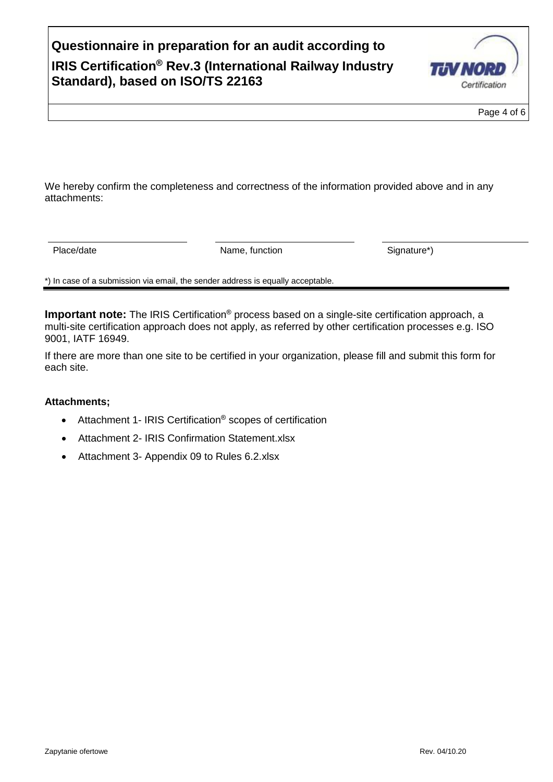# **Questionnaire in preparation for an audit according to IRIS Certification® Rev.3 (International Railway Industry Standard), based on ISO/TS 22163**



We hereby confirm the completeness and correctness of the information provided above and in any attachments:

Place/date **Name, function** Signature\*)

\*) In case of a submission via email, the sender address is equally acceptable.

**Important note:** The IRIS Certification® process based on a single-site certification approach, a multi-site certification approach does not apply, as referred by other certification processes e.g. ISO 9001, IATF 16949.

If there are more than one site to be certified in your organization, please fill and submit this form for each site.

#### **Attachments;**

- Attachment 1- IRIS Certification<sup>®</sup> scopes of certification
- Attachment 2- IRIS Confirmation Statement.xlsx
- Attachment 3- Appendix 09 to Rules 6.2.xlsx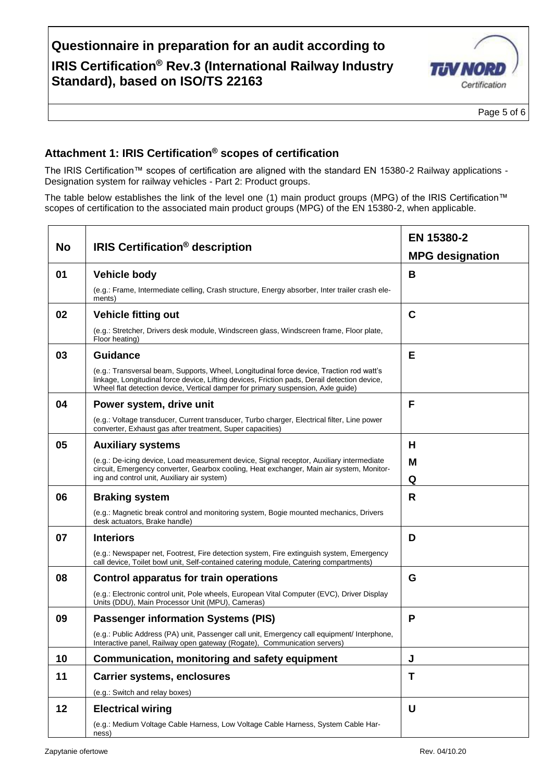# **Questionnaire in preparation for an audit according to**

# **IRIS Certification® Rev.3 (International Railway Industry Standard), based on ISO/TS 22163**



Page 5 of 6

#### **Attachment 1: IRIS Certification® scopes of certification**

The IRIS Certification™ scopes of certification are aligned with the standard EN 15380-2 Railway applications - Designation system for railway vehicles - Part 2: Product groups.

The table below establishes the link of the level one (1) main product groups (MPG) of the IRIS Certification™ scopes of certification to the associated main product groups (MPG) of the EN 15380-2, when applicable.

| <b>No</b> | <b>IRIS Certification<sup>®</sup> description</b>                                                                                                                                                                                                                            | EN 15380-2<br><b>MPG designation</b> |
|-----------|------------------------------------------------------------------------------------------------------------------------------------------------------------------------------------------------------------------------------------------------------------------------------|--------------------------------------|
| 01        | <b>Vehicle body</b>                                                                                                                                                                                                                                                          | B                                    |
|           | (e.g.: Frame, Intermediate celling, Crash structure, Energy absorber, Inter trailer crash ele-<br>ments)                                                                                                                                                                     |                                      |
| 02        | <b>Vehicle fitting out</b>                                                                                                                                                                                                                                                   | $\mathbf c$                          |
|           | (e.g.: Stretcher, Drivers desk module, Windscreen glass, Windscreen frame, Floor plate,<br>Floor heating)                                                                                                                                                                    |                                      |
| 03        | <b>Guidance</b>                                                                                                                                                                                                                                                              | Е                                    |
|           | (e.g.: Transversal beam, Supports, Wheel, Longitudinal force device, Traction rod watt's<br>linkage, Longitudinal force device, Lifting devices, Friction pads, Derail detection device,<br>Wheel flat detection device, Vertical damper for primary suspension, Axle guide) |                                      |
| 04        | Power system, drive unit                                                                                                                                                                                                                                                     | F                                    |
|           | (e.g.: Voltage transducer, Current transducer, Turbo charger, Electrical filter, Line power<br>converter, Exhaust gas after treatment, Super capacities)                                                                                                                     |                                      |
| 05        | <b>Auxiliary systems</b>                                                                                                                                                                                                                                                     | Н                                    |
|           | (e.g.: De-icing device, Load measurement device, Signal receptor, Auxiliary intermediate<br>circuit, Emergency converter, Gearbox cooling, Heat exchanger, Main air system, Monitor-<br>ing and control unit, Auxiliary air system)                                          | M<br>Q                               |
| 06        | <b>Braking system</b>                                                                                                                                                                                                                                                        | R                                    |
|           | (e.g.: Magnetic break control and monitoring system, Bogie mounted mechanics, Drivers<br>desk actuators, Brake handle)                                                                                                                                                       |                                      |
| 07        | <b>Interiors</b>                                                                                                                                                                                                                                                             | D                                    |
|           | (e.g.: Newspaper net, Footrest, Fire detection system, Fire extinguish system, Emergency<br>call device, Toilet bowl unit, Self-contained catering module, Catering compartments)                                                                                            |                                      |
| 08        | Control apparatus for train operations                                                                                                                                                                                                                                       | G                                    |
|           | (e.g.: Electronic control unit, Pole wheels, European Vital Computer (EVC), Driver Display<br>Units (DDU), Main Processor Unit (MPU), Cameras)                                                                                                                               |                                      |
| 09        | <b>Passenger information Systems (PIS)</b>                                                                                                                                                                                                                                   | P                                    |
|           | (e.g.: Public Address (PA) unit, Passenger call unit, Emergency call equipment/ Interphone,<br>Interactive panel, Railway open gateway (Rogate), Communication servers)                                                                                                      |                                      |
| 10        | Communication, monitoring and safety equipment                                                                                                                                                                                                                               | J                                    |
| 11        | <b>Carrier systems, enclosures</b>                                                                                                                                                                                                                                           | T                                    |
|           | (e.g.: Switch and relay boxes)                                                                                                                                                                                                                                               |                                      |
| 12        | <b>Electrical wiring</b>                                                                                                                                                                                                                                                     | U                                    |
|           | (e.g.: Medium Voltage Cable Harness, Low Voltage Cable Harness, System Cable Har-<br>ness)                                                                                                                                                                                   |                                      |